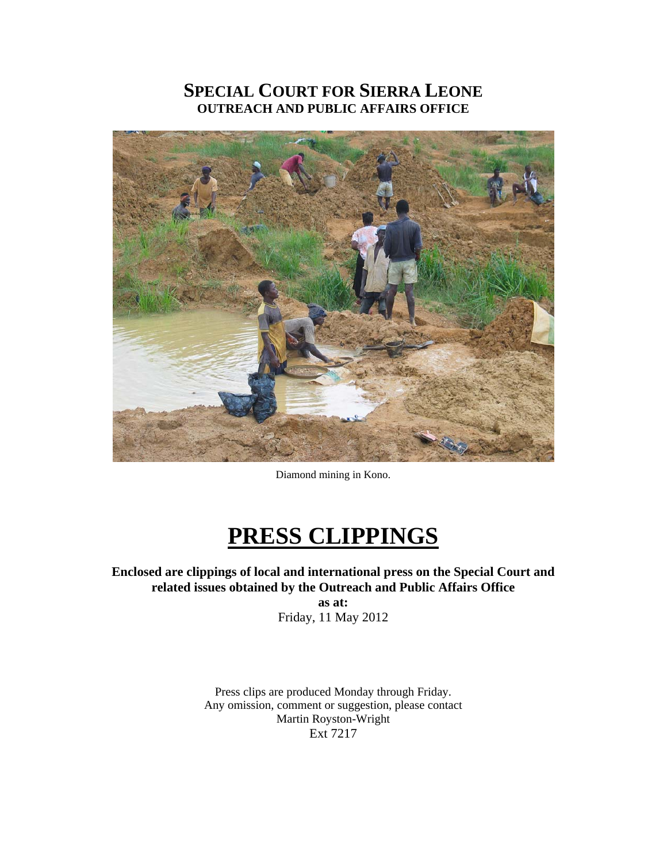# **SPECIAL COURT FOR SIERRA LEONE OUTREACH AND PUBLIC AFFAIRS OFFICE**



Diamond mining in Kono.

# **PRESS CLIPPINGS**

**Enclosed are clippings of local and international press on the Special Court and related issues obtained by the Outreach and Public Affairs Office as at:** 

Friday, 11 May 2012

Press clips are produced Monday through Friday. Any omission, comment or suggestion, please contact Martin Royston-Wright Ext 7217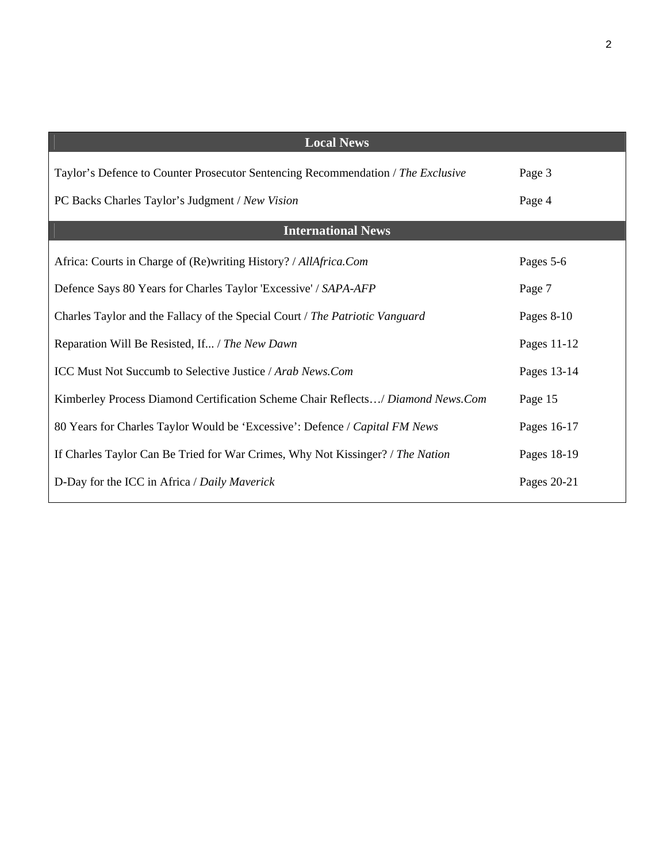| <b>Local News</b>                                                                |             |
|----------------------------------------------------------------------------------|-------------|
| Taylor's Defence to Counter Prosecutor Sentencing Recommendation / The Exclusive | Page 3      |
| PC Backs Charles Taylor's Judgment / New Vision                                  | Page 4      |
| <b>International News</b>                                                        |             |
| Africa: Courts in Charge of (Re)writing History? / AllAfrica.Com                 | Pages 5-6   |
| Defence Says 80 Years for Charles Taylor 'Excessive' / SAPA-AFP                  | Page 7      |
| Charles Taylor and the Fallacy of the Special Court / The Patriotic Vanguard     | Pages 8-10  |
| Reparation Will Be Resisted, If / The New Dawn                                   | Pages 11-12 |
| ICC Must Not Succumb to Selective Justice / Arab News.Com                        | Pages 13-14 |
| Kimberley Process Diamond Certification Scheme Chair Reflects/ Diamond News.Com  | Page 15     |
| 80 Years for Charles Taylor Would be 'Excessive': Defence / Capital FM News      | Pages 16-17 |
| If Charles Taylor Can Be Tried for War Crimes, Why Not Kissinger? / The Nation   | Pages 18-19 |
| D-Day for the ICC in Africa / Daily Maverick                                     | Pages 20-21 |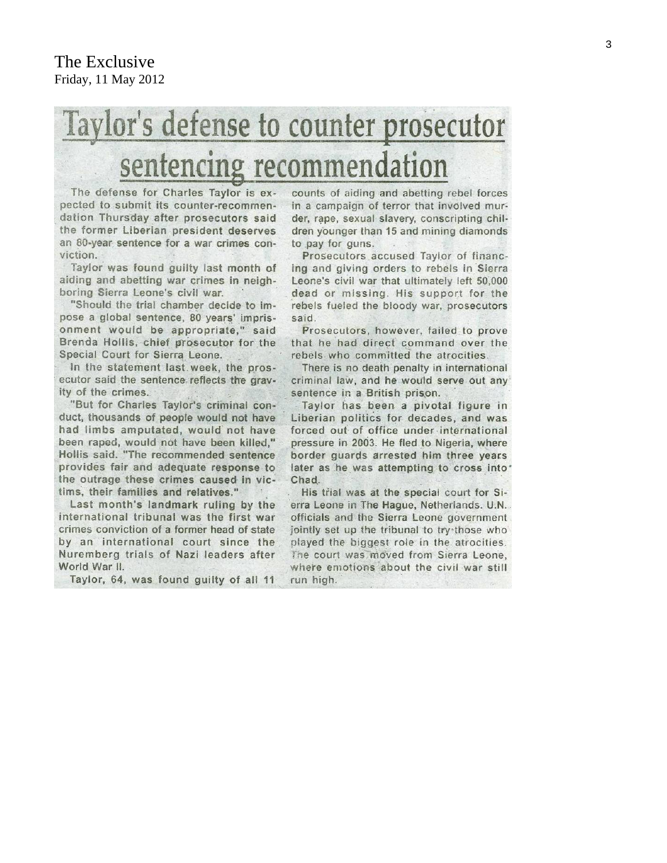# Taylor's defense to counter prosecutor sentencing recommendation

The defense for Charles Taylor is expected to submit its counter-recommendation Thursday after prosecutors said the former Liberian president deserves an 80-year sentence for a war crimes conviction.

Taylor was found quilty last month of aiding and abetting war crimes in neighboring Sierra Leone's civil war.

"Should the trial chamber decide to impose a global sentence, 80 years' imprisonment would be appropriate," said Brenda Hollis, chief prosecutor for the Special Court for Sierra Leone.

In the statement last week, the prosecutor said the sentence reflects the gravity of the crimes.

"But for Charles Taylor's criminal conduct, thousands of people would not have had limbs amputated, would not have been raped, would not have been killed." Hollis said. "The recommended sentence provides fair and adequate response to the outrage these crimes caused in victims, their families and relatives."

Last month's landmark ruling by the international tribunal was the first war crimes conviction of a former head of state by an international court since the Nuremberg trials of Nazi leaders after World War II.

Taylor, 64, was found guilty of all 11

counts of aiding and abetting rebel forces in a campaign of terror that involved murder, rape, sexual slavery, conscripting children younger than 15 and mining diamonds to pay for guns.

Prosecutors accused Taylor of financing and giving orders to rebels in Sierra Leone's civil war that ultimately left 50,000 dead or missing. His support for the rebels fueled the bloody war, prosecutors said.

Prosecutors, however, failed to prove that he had direct command over the rebels who committed the atrocities.

There is no death penalty in international criminal law, and he would serve out any sentence in a British prison.

Taylor has been a pivotal figure in Liberian politics for decades, and was forced out of office under international pressure in 2003. He fled to Nigeria, where border guards arrested him three years later as he was attempting to cross into Chad.

His trial was at the special court for Sierra Leone in The Hague, Netherlands. U.N. officials and the Sierra Leone government jointly set up the tribunal to try those who played the biggest role in the atrocities. The court was moved from Sierra Leone. where emotions about the civil war still run high.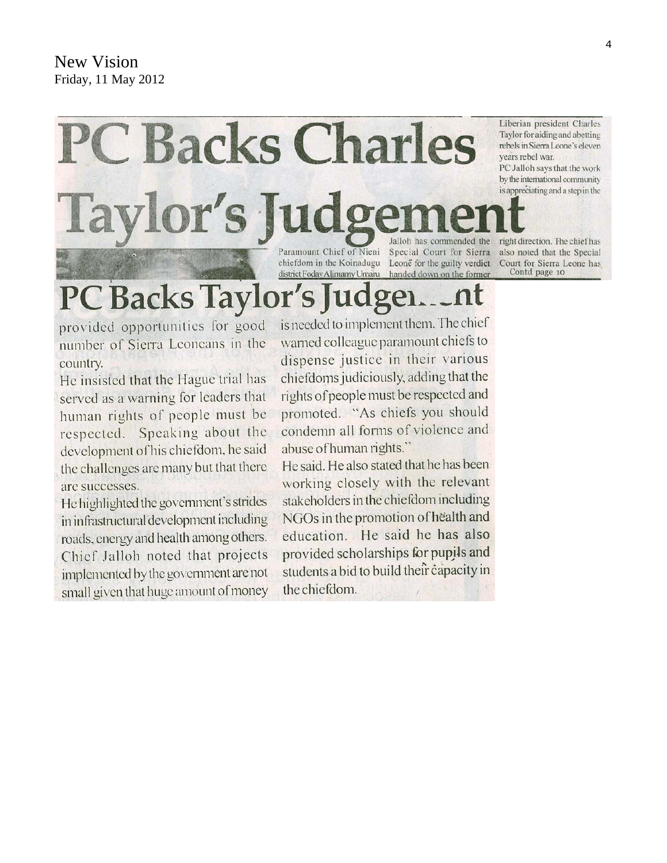

Liberian president Charles Taylor for aiding and abetting rebels in Sierra Leone's eleven years rebel war. PC Jalloh says that the work

by the international community is appreciating and a step in the

# PC Backs Taylor's Judger

provided opportunities for good number of Sierra Leoneans in the country.

He insisted that the Hague trial has served as a warning for leaders that human rights of people must be respected. Speaking about the development of his chiefdom, he said the challenges are many but that there are successes.

He highlighted the government's strides in infrastructural development including roads, energy and health among others. Chief Jalloh noted that projects implemented by the government are not small given that huge amount of money

is needed to implement them. The chief warned colleague paramount chiefs to dispense justice in their various chiefdoms judiciously, adding that the rights of people must be respected and promoted. "As chiefs you should condemn all forms of violence and abuse of human rights."

He said. He also stated that he has been working closely with the relevant stakeholders in the chiefdom including NGOs in the promotion of health and education. He said he has also provided scholarships for pupils and students a bid to build their capacity in the chiefdom.

right direction. The chief has also noted that the Special Court for Sierra Leone has Contd page 10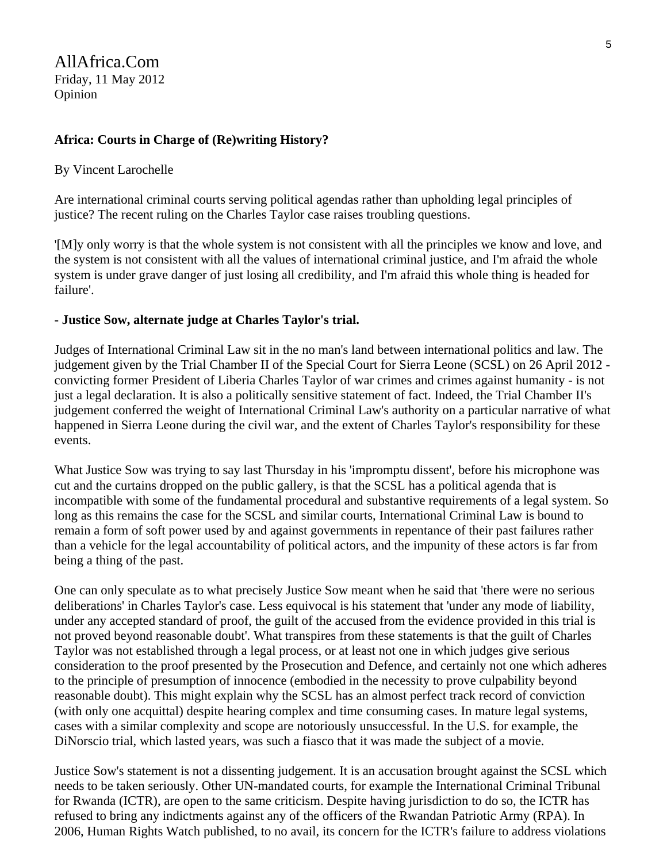AllAfrica.Com Friday, 11 May 2012 Opinion

#### **Africa: Courts in Charge of (Re)writing History?**

#### By Vincent Larochelle

Are international criminal courts serving political agendas rather than upholding legal principles of justice? The recent ruling on the Charles Taylor case raises troubling questions.

'[M]y only worry is that the whole system is not consistent with all the principles we know and love, and the system is not consistent with all the values of international criminal justice, and I'm afraid the whole system is under grave danger of just losing all credibility, and I'm afraid this whole thing is headed for failure'.

#### **- Justice Sow, alternate judge at Charles Taylor's trial.**

Judges of International Criminal Law sit in the no man's land between international politics and law. The judgement given by the Trial Chamber II of the Special Court for Sierra Leone (SCSL) on 26 April 2012 convicting former President of Liberia Charles Taylor of war crimes and crimes against humanity - is not just a legal declaration. It is also a politically sensitive statement of fact. Indeed, the Trial Chamber II's judgement conferred the weight of International Criminal Law's authority on a particular narrative of what happened in Sierra Leone during the civil war, and the extent of Charles Taylor's responsibility for these events.

What Justice Sow was trying to say last Thursday in his 'impromptu dissent', before his microphone was cut and the curtains dropped on the public gallery, is that the SCSL has a political agenda that is incompatible with some of the fundamental procedural and substantive requirements of a legal system. So long as this remains the case for the SCSL and similar courts, International Criminal Law is bound to remain a form of soft power used by and against governments in repentance of their past failures rather than a vehicle for the legal accountability of political actors, and the impunity of these actors is far from being a thing of the past.

One can only speculate as to what precisely Justice Sow meant when he said that 'there were no serious deliberations' in Charles Taylor's case. Less equivocal is his statement that 'under any mode of liability, under any accepted standard of proof, the guilt of the accused from the evidence provided in this trial is not proved beyond reasonable doubt'. What transpires from these statements is that the guilt of Charles Taylor was not established through a legal process, or at least not one in which judges give serious consideration to the proof presented by the Prosecution and Defence, and certainly not one which adheres to the principle of presumption of innocence (embodied in the necessity to prove culpability beyond reasonable doubt). This might explain why the SCSL has an almost perfect track record of conviction (with only one acquittal) despite hearing complex and time consuming cases. In mature legal systems, cases with a similar complexity and scope are notoriously unsuccessful. In the U.S. for example, the DiNorscio trial, which lasted years, was such a fiasco that it was made the subject of a movie.

Justice Sow's statement is not a dissenting judgement. It is an accusation brought against the SCSL which needs to be taken seriously. Other UN-mandated courts, for example the International Criminal Tribunal for Rwanda (ICTR), are open to the same criticism. Despite having jurisdiction to do so, the ICTR has refused to bring any indictments against any of the officers of the Rwandan Patriotic Army (RPA). In 2006, Human Rights Watch published, to no avail, its concern for the ICTR's failure to address violations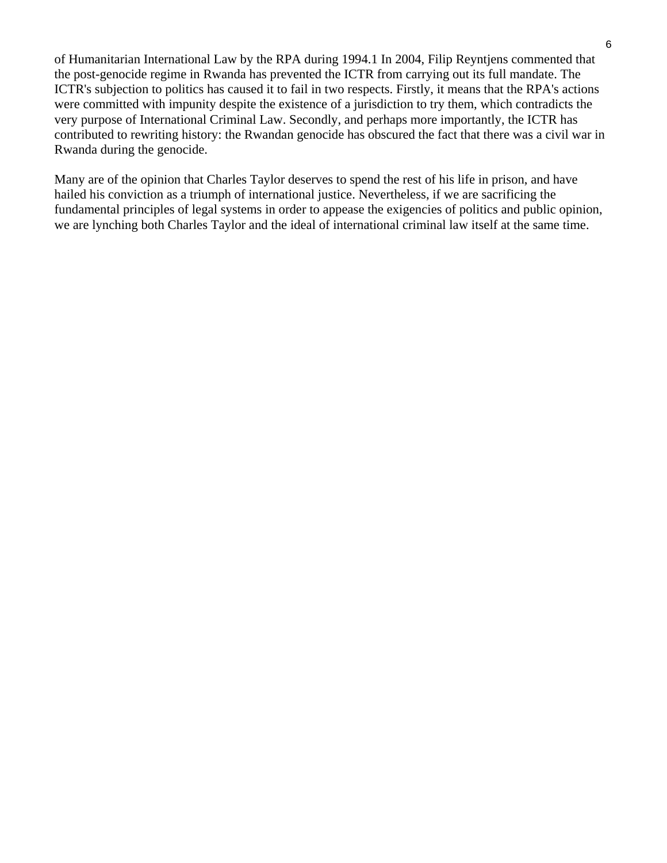of Humanitarian International Law by the RPA during 1994.1 In 2004, Filip Reyntjens commented that the post-genocide regime in Rwanda has prevented the ICTR from carrying out its full mandate. The ICTR's subjection to politics has caused it to fail in two respects. Firstly, it means that the RPA's actions were committed with impunity despite the existence of a jurisdiction to try them, which contradicts the very purpose of International Criminal Law. Secondly, and perhaps more importantly, the ICTR has contributed to rewriting history: the Rwandan genocide has obscured the fact that there was a civil war in Rwanda during the genocide.

Many are of the opinion that Charles Taylor deserves to spend the rest of his life in prison, and have hailed his conviction as a triumph of international justice. Nevertheless, if we are sacrificing the fundamental principles of legal systems in order to appease the exigencies of politics and public opinion, we are lynching both Charles Taylor and the ideal of international criminal law itself at the same time.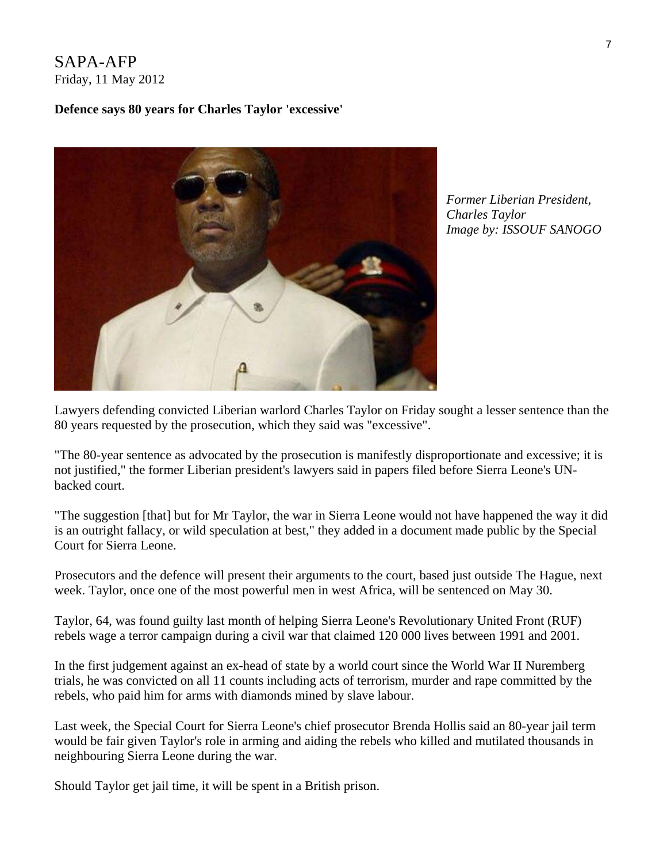# SAPA-AFP Friday, 11 May 2012

#### **Defence says 80 years for Charles Taylor 'excessive'**



*Former Liberian President, Charles Taylor Image by: ISSOUF SANOGO* 

Lawyers defending convicted Liberian warlord Charles Taylor on Friday sought a lesser sentence than the 80 years requested by the prosecution, which they said was "excessive".

"The 80-year sentence as advocated by the prosecution is manifestly disproportionate and excessive; it is not justified," the former Liberian president's lawyers said in papers filed before Sierra Leone's UNbacked court.

"The suggestion [that] but for Mr Taylor, the war in Sierra Leone would not have happened the way it did is an outright fallacy, or wild speculation at best," they added in a document made public by the Special Court for Sierra Leone.

Prosecutors and the defence will present their arguments to the court, based just outside The Hague, next week. Taylor, once one of the most powerful men in west Africa, will be sentenced on May 30.

Taylor, 64, was found guilty last month of helping Sierra Leone's Revolutionary United Front (RUF) rebels wage a terror campaign during a civil war that claimed 120 000 lives between 1991 and 2001.

In the first judgement against an ex-head of state by a world court since the World War II Nuremberg trials, he was convicted on all 11 counts including acts of terrorism, murder and rape committed by the rebels, who paid him for arms with diamonds mined by slave labour.

Last week, the Special Court for Sierra Leone's chief prosecutor Brenda Hollis said an 80-year jail term would be fair given Taylor's role in arming and aiding the rebels who killed and mutilated thousands in neighbouring Sierra Leone during the war.

Should Taylor get jail time, it will be spent in a British prison.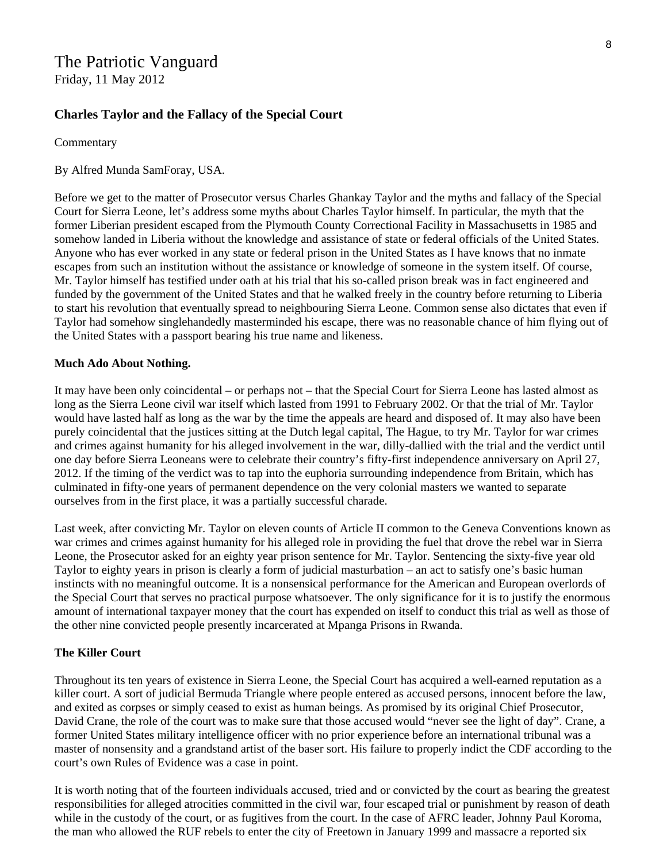# The Patriotic Vanguard Friday, 11 May 2012

# **Charles Taylor and the Fallacy of the Special Court**

Commentary

By Alfred Munda SamForay, USA.

Before we get to the matter of Prosecutor versus Charles Ghankay Taylor and the myths and fallacy of the Special Court for Sierra Leone, let's address some myths about Charles Taylor himself. In particular, the myth that the former Liberian president escaped from the Plymouth County Correctional Facility in Massachusetts in 1985 and somehow landed in Liberia without the knowledge and assistance of state or federal officials of the United States. Anyone who has ever worked in any state or federal prison in the United States as I have knows that no inmate escapes from such an institution without the assistance or knowledge of someone in the system itself. Of course, Mr. Taylor himself has testified under oath at his trial that his so-called prison break was in fact engineered and funded by the government of the United States and that he walked freely in the country before returning to Liberia to start his revolution that eventually spread to neighbouring Sierra Leone. Common sense also dictates that even if Taylor had somehow singlehandedly masterminded his escape, there was no reasonable chance of him flying out of the United States with a passport bearing his true name and likeness.

#### **Much Ado About Nothing.**

It may have been only coincidental – or perhaps not – that the Special Court for Sierra Leone has lasted almost as long as the Sierra Leone civil war itself which lasted from 1991 to February 2002. Or that the trial of Mr. Taylor would have lasted half as long as the war by the time the appeals are heard and disposed of. It may also have been purely coincidental that the justices sitting at the Dutch legal capital, The Hague, to try Mr. Taylor for war crimes and crimes against humanity for his alleged involvement in the war, dilly-dallied with the trial and the verdict until one day before Sierra Leoneans were to celebrate their country's fifty-first independence anniversary on April 27, 2012. If the timing of the verdict was to tap into the euphoria surrounding independence from Britain, which has culminated in fifty-one years of permanent dependence on the very colonial masters we wanted to separate ourselves from in the first place, it was a partially successful charade.

Last week, after convicting Mr. Taylor on eleven counts of Article II common to the Geneva Conventions known as war crimes and crimes against humanity for his alleged role in providing the fuel that drove the rebel war in Sierra Leone, the Prosecutor asked for an eighty year prison sentence for Mr. Taylor. Sentencing the sixty-five year old Taylor to eighty years in prison is clearly a form of judicial masturbation – an act to satisfy one's basic human instincts with no meaningful outcome. It is a nonsensical performance for the American and European overlords of the Special Court that serves no practical purpose whatsoever. The only significance for it is to justify the enormous amount of international taxpayer money that the court has expended on itself to conduct this trial as well as those of the other nine convicted people presently incarcerated at Mpanga Prisons in Rwanda.

#### **The Killer Court**

Throughout its ten years of existence in Sierra Leone, the Special Court has acquired a well-earned reputation as a killer court. A sort of judicial Bermuda Triangle where people entered as accused persons, innocent before the law, and exited as corpses or simply ceased to exist as human beings. As promised by its original Chief Prosecutor, David Crane, the role of the court was to make sure that those accused would "never see the light of day". Crane, a former United States military intelligence officer with no prior experience before an international tribunal was a master of nonsensity and a grandstand artist of the baser sort. His failure to properly indict the CDF according to the court's own Rules of Evidence was a case in point.

It is worth noting that of the fourteen individuals accused, tried and or convicted by the court as bearing the greatest responsibilities for alleged atrocities committed in the civil war, four escaped trial or punishment by reason of death while in the custody of the court, or as fugitives from the court. In the case of AFRC leader, Johnny Paul Koroma, the man who allowed the RUF rebels to enter the city of Freetown in January 1999 and massacre a reported six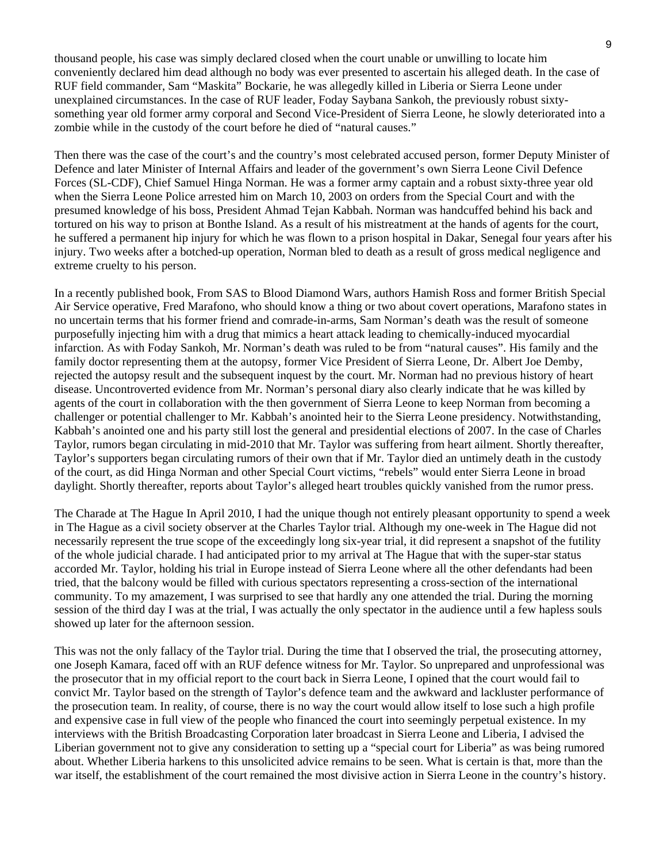thousand people, his case was simply declared closed when the court unable or unwilling to locate him conveniently declared him dead although no body was ever presented to ascertain his alleged death. In the case of RUF field commander, Sam "Maskita" Bockarie, he was allegedly killed in Liberia or Sierra Leone under unexplained circumstances. In the case of RUF leader, Foday Saybana Sankoh, the previously robust sixtysomething year old former army corporal and Second Vice-President of Sierra Leone, he slowly deteriorated into a zombie while in the custody of the court before he died of "natural causes."

Then there was the case of the court's and the country's most celebrated accused person, former Deputy Minister of Defence and later Minister of Internal Affairs and leader of the government's own Sierra Leone Civil Defence Forces (SL-CDF), Chief Samuel Hinga Norman. He was a former army captain and a robust sixty-three year old when the Sierra Leone Police arrested him on March 10, 2003 on orders from the Special Court and with the presumed knowledge of his boss, President Ahmad Tejan Kabbah. Norman was handcuffed behind his back and tortured on his way to prison at Bonthe Island. As a result of his mistreatment at the hands of agents for the court, he suffered a permanent hip injury for which he was flown to a prison hospital in Dakar, Senegal four years after his injury. Two weeks after a botched-up operation, Norman bled to death as a result of gross medical negligence and extreme cruelty to his person.

In a recently published book, From SAS to Blood Diamond Wars, authors Hamish Ross and former British Special Air Service operative, Fred Marafono, who should know a thing or two about covert operations, Marafono states in no uncertain terms that his former friend and comrade-in-arms, Sam Norman's death was the result of someone purposefully injecting him with a drug that mimics a heart attack leading to chemically-induced myocardial infarction. As with Foday Sankoh, Mr. Norman's death was ruled to be from "natural causes". His family and the family doctor representing them at the autopsy, former Vice President of Sierra Leone, Dr. Albert Joe Demby, rejected the autopsy result and the subsequent inquest by the court. Mr. Norman had no previous history of heart disease. Uncontroverted evidence from Mr. Norman's personal diary also clearly indicate that he was killed by agents of the court in collaboration with the then government of Sierra Leone to keep Norman from becoming a challenger or potential challenger to Mr. Kabbah's anointed heir to the Sierra Leone presidency. Notwithstanding, Kabbah's anointed one and his party still lost the general and presidential elections of 2007. In the case of Charles Taylor, rumors began circulating in mid-2010 that Mr. Taylor was suffering from heart ailment. Shortly thereafter, Taylor's supporters began circulating rumors of their own that if Mr. Taylor died an untimely death in the custody of the court, as did Hinga Norman and other Special Court victims, "rebels" would enter Sierra Leone in broad daylight. Shortly thereafter, reports about Taylor's alleged heart troubles quickly vanished from the rumor press.

The Charade at The Hague In April 2010, I had the unique though not entirely pleasant opportunity to spend a week in The Hague as a civil society observer at the Charles Taylor trial. Although my one-week in The Hague did not necessarily represent the true scope of the exceedingly long six-year trial, it did represent a snapshot of the futility of the whole judicial charade. I had anticipated prior to my arrival at The Hague that with the super-star status accorded Mr. Taylor, holding his trial in Europe instead of Sierra Leone where all the other defendants had been tried, that the balcony would be filled with curious spectators representing a cross-section of the international community. To my amazement, I was surprised to see that hardly any one attended the trial. During the morning session of the third day I was at the trial, I was actually the only spectator in the audience until a few hapless souls showed up later for the afternoon session.

This was not the only fallacy of the Taylor trial. During the time that I observed the trial, the prosecuting attorney, one Joseph Kamara, faced off with an RUF defence witness for Mr. Taylor. So unprepared and unprofessional was the prosecutor that in my official report to the court back in Sierra Leone, I opined that the court would fail to convict Mr. Taylor based on the strength of Taylor's defence team and the awkward and lackluster performance of the prosecution team. In reality, of course, there is no way the court would allow itself to lose such a high profile and expensive case in full view of the people who financed the court into seemingly perpetual existence. In my interviews with the British Broadcasting Corporation later broadcast in Sierra Leone and Liberia, I advised the Liberian government not to give any consideration to setting up a "special court for Liberia" as was being rumored about. Whether Liberia harkens to this unsolicited advice remains to be seen. What is certain is that, more than the war itself, the establishment of the court remained the most divisive action in Sierra Leone in the country's history.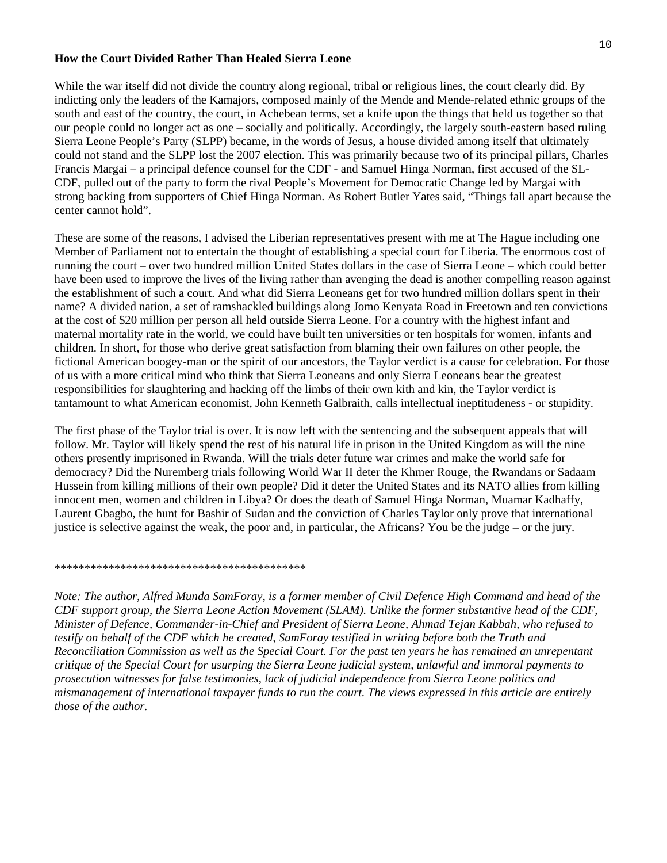#### **How the Court Divided Rather Than Healed Sierra Leone**

While the war itself did not divide the country along regional, tribal or religious lines, the court clearly did. By indicting only the leaders of the Kamajors, composed mainly of the Mende and Mende-related ethnic groups of the south and east of the country, the court, in Achebean terms, set a knife upon the things that held us together so that our people could no longer act as one – socially and politically. Accordingly, the largely south-eastern based ruling Sierra Leone People's Party (SLPP) became, in the words of Jesus, a house divided among itself that ultimately could not stand and the SLPP lost the 2007 election. This was primarily because two of its principal pillars, Charles Francis Margai – a principal defence counsel for the CDF - and Samuel Hinga Norman, first accused of the SL-CDF, pulled out of the party to form the rival People's Movement for Democratic Change led by Margai with strong backing from supporters of Chief Hinga Norman. As Robert Butler Yates said, "Things fall apart because the center cannot hold".

These are some of the reasons, I advised the Liberian representatives present with me at The Hague including one Member of Parliament not to entertain the thought of establishing a special court for Liberia. The enormous cost of running the court – over two hundred million United States dollars in the case of Sierra Leone – which could better have been used to improve the lives of the living rather than avenging the dead is another compelling reason against the establishment of such a court. And what did Sierra Leoneans get for two hundred million dollars spent in their name? A divided nation, a set of ramshackled buildings along Jomo Kenyata Road in Freetown and ten convictions at the cost of \$20 million per person all held outside Sierra Leone. For a country with the highest infant and maternal mortality rate in the world, we could have built ten universities or ten hospitals for women, infants and children. In short, for those who derive great satisfaction from blaming their own failures on other people, the fictional American boogey-man or the spirit of our ancestors, the Taylor verdict is a cause for celebration. For those of us with a more critical mind who think that Sierra Leoneans and only Sierra Leoneans bear the greatest responsibilities for slaughtering and hacking off the limbs of their own kith and kin, the Taylor verdict is tantamount to what American economist, John Kenneth Galbraith, calls intellectual ineptitudeness - or stupidity.

The first phase of the Taylor trial is over. It is now left with the sentencing and the subsequent appeals that will follow. Mr. Taylor will likely spend the rest of his natural life in prison in the United Kingdom as will the nine others presently imprisoned in Rwanda. Will the trials deter future war crimes and make the world safe for democracy? Did the Nuremberg trials following World War II deter the Khmer Rouge, the Rwandans or Sadaam Hussein from killing millions of their own people? Did it deter the United States and its NATO allies from killing innocent men, women and children in Libya? Or does the death of Samuel Hinga Norman, Muamar Kadhaffy, Laurent Gbagbo, the hunt for Bashir of Sudan and the conviction of Charles Taylor only prove that international justice is selective against the weak, the poor and, in particular, the Africans? You be the judge – or the jury.

#### \*\*\*\*\*\*\*\*\*\*\*\*\*\*\*\*\*\*\*\*\*\*\*\*\*\*\*\*\*\*\*\*\*\*\*\*\*\*\*\*\*\*

*Note: The author, Alfred Munda SamForay, is a former member of Civil Defence High Command and head of the CDF support group, the Sierra Leone Action Movement (SLAM). Unlike the former substantive head of the CDF, Minister of Defence, Commander-in-Chief and President of Sierra Leone, Ahmad Tejan Kabbah, who refused to testify on behalf of the CDF which he created, SamForay testified in writing before both the Truth and Reconciliation Commission as well as the Special Court. For the past ten years he has remained an unrepentant critique of the Special Court for usurping the Sierra Leone judicial system, unlawful and immoral payments to prosecution witnesses for false testimonies, lack of judicial independence from Sierra Leone politics and mismanagement of international taxpayer funds to run the court. The views expressed in this article are entirely those of the author.*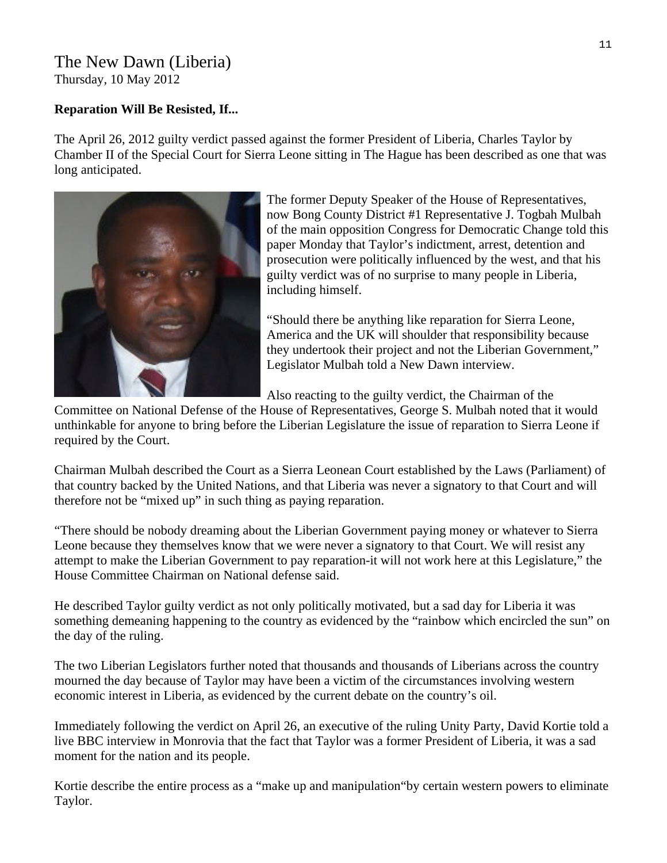# The New Dawn (Liberia)

Thursday, 10 May 2012

### **Reparation Will Be Resisted, If...**

The April 26, 2012 guilty verdict passed against the former President of Liberia, Charles Taylor by Chamber II of the Special Court for Sierra Leone sitting in The Hague has been described as one that was long anticipated.



The former Deputy Speaker of the House of Representatives, now Bong County District #1 Representative J. Togbah Mulbah of the main opposition Congress for Democratic Change told this paper Monday that Taylor's indictment, arrest, detention and prosecution were politically influenced by the west, and that his guilty verdict was of no surprise to many people in Liberia, including himself.

"Should there be anything like reparation for Sierra Leone, America and the UK will shoulder that responsibility because they undertook their project and not the Liberian Government," Legislator Mulbah told a New Dawn interview.

Also reacting to the guilty verdict, the Chairman of the

Committee on National Defense of the House of Representatives, George S. Mulbah noted that it would unthinkable for anyone to bring before the Liberian Legislature the issue of reparation to Sierra Leone if required by the Court.

Chairman Mulbah described the Court as a Sierra Leonean Court established by the Laws (Parliament) of that country backed by the United Nations, and that Liberia was never a signatory to that Court and will therefore not be "mixed up" in such thing as paying reparation.

"There should be nobody dreaming about the Liberian Government paying money or whatever to Sierra Leone because they themselves know that we were never a signatory to that Court. We will resist any attempt to make the Liberian Government to pay reparation-it will not work here at this Legislature," the House Committee Chairman on National defense said.

He described Taylor guilty verdict as not only politically motivated, but a sad day for Liberia it was something demeaning happening to the country as evidenced by the "rainbow which encircled the sun" on the day of the ruling.

The two Liberian Legislators further noted that thousands and thousands of Liberians across the country mourned the day because of Taylor may have been a victim of the circumstances involving western economic interest in Liberia, as evidenced by the current debate on the country's oil.

Immediately following the verdict on April 26, an executive of the ruling Unity Party, David Kortie told a live BBC interview in Monrovia that the fact that Taylor was a former President of Liberia, it was a sad moment for the nation and its people.

Kortie describe the entire process as a "make up and manipulation"by certain western powers to eliminate Taylor.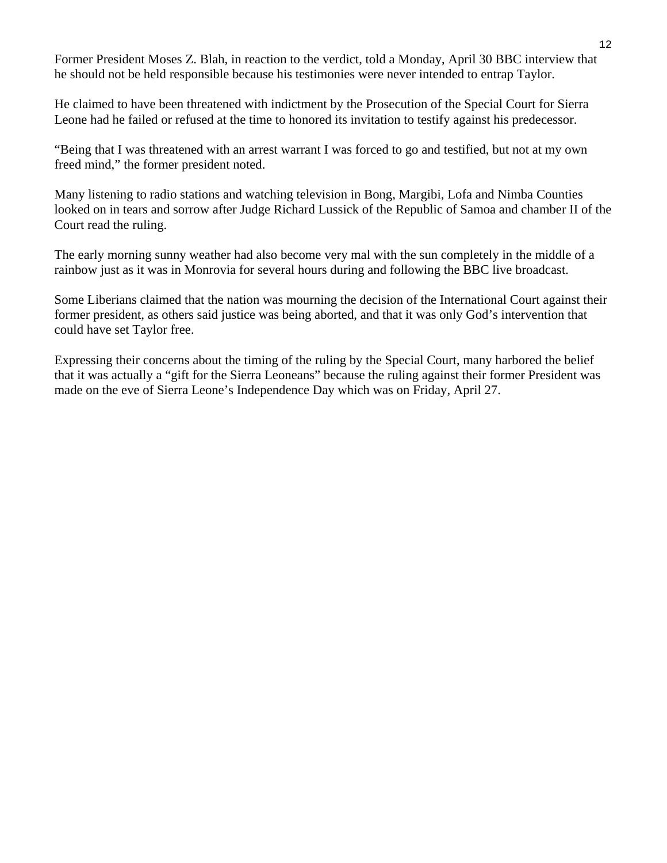Former President Moses Z. Blah, in reaction to the verdict, told a Monday, April 30 BBC interview that he should not be held responsible because his testimonies were never intended to entrap Taylor.

He claimed to have been threatened with indictment by the Prosecution of the Special Court for Sierra Leone had he failed or refused at the time to honored its invitation to testify against his predecessor.

"Being that I was threatened with an arrest warrant I was forced to go and testified, but not at my own freed mind," the former president noted.

Many listening to radio stations and watching television in Bong, Margibi, Lofa and Nimba Counties looked on in tears and sorrow after Judge Richard Lussick of the Republic of Samoa and chamber II of the Court read the ruling.

The early morning sunny weather had also become very mal with the sun completely in the middle of a rainbow just as it was in Monrovia for several hours during and following the BBC live broadcast.

Some Liberians claimed that the nation was mourning the decision of the International Court against their former president, as others said justice was being aborted, and that it was only God's intervention that could have set Taylor free.

Expressing their concerns about the timing of the ruling by the Special Court, many harbored the belief that it was actually a "gift for the Sierra Leoneans" because the ruling against their former President was made on the eve of Sierra Leone's Independence Day which was on Friday, April 27.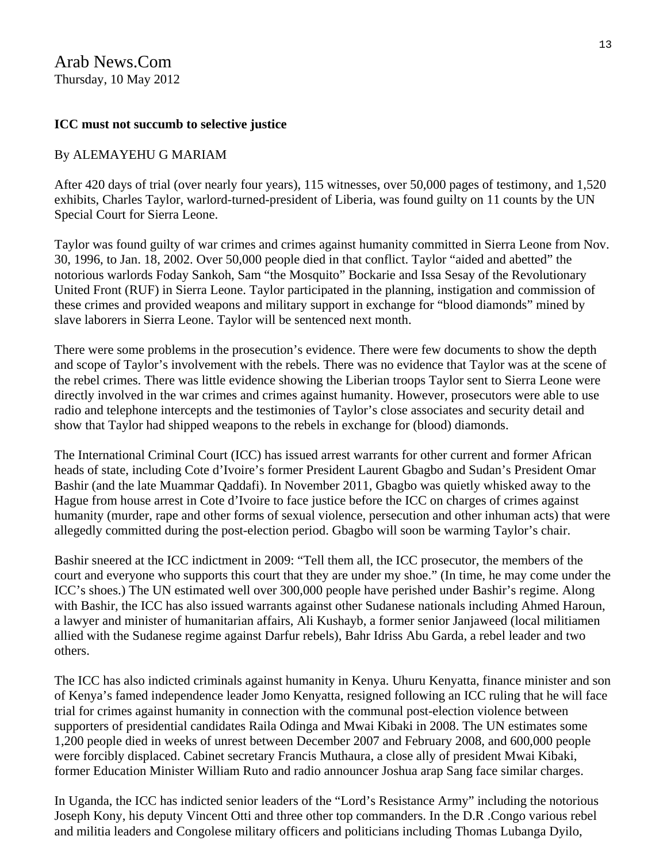# **ICC must not succumb to selective justice**

# By ALEMAYEHU G MARIAM

After 420 days of trial (over nearly four years), 115 witnesses, over 50,000 pages of testimony, and 1,520 exhibits, Charles Taylor, warlord-turned-president of Liberia, was found guilty on 11 counts by the UN Special Court for Sierra Leone.

Taylor was found guilty of war crimes and crimes against humanity committed in Sierra Leone from Nov. 30, 1996, to Jan. 18, 2002. Over 50,000 people died in that conflict. Taylor "aided and abetted" the notorious warlords Foday Sankoh, Sam "the Mosquito" Bockarie and Issa Sesay of the Revolutionary United Front (RUF) in Sierra Leone. Taylor participated in the planning, instigation and commission of these crimes and provided weapons and military support in exchange for "blood diamonds" mined by slave laborers in Sierra Leone. Taylor will be sentenced next month.

There were some problems in the prosecution's evidence. There were few documents to show the depth and scope of Taylor's involvement with the rebels. There was no evidence that Taylor was at the scene of the rebel crimes. There was little evidence showing the Liberian troops Taylor sent to Sierra Leone were directly involved in the war crimes and crimes against humanity. However, prosecutors were able to use radio and telephone intercepts and the testimonies of Taylor's close associates and security detail and show that Taylor had shipped weapons to the rebels in exchange for (blood) diamonds.

The International Criminal Court (ICC) has issued arrest warrants for other current and former African heads of state, including Cote d'Ivoire's former President Laurent Gbagbo and Sudan's President Omar Bashir (and the late Muammar Qaddafi). In November 2011, Gbagbo was quietly whisked away to the Hague from house arrest in Cote d'Ivoire to face justice before the ICC on charges of crimes against humanity (murder, rape and other forms of sexual violence, persecution and other inhuman acts) that were allegedly committed during the post-election period. Gbagbo will soon be warming Taylor's chair.

Bashir sneered at the ICC indictment in 2009: "Tell them all, the ICC prosecutor, the members of the court and everyone who supports this court that they are under my shoe." (In time, he may come under the ICC's shoes.) The UN estimated well over 300,000 people have perished under Bashir's regime. Along with Bashir, the ICC has also issued warrants against other Sudanese nationals including Ahmed Haroun, a lawyer and minister of humanitarian affairs, Ali Kushayb, a former senior Janjaweed (local militiamen allied with the Sudanese regime against Darfur rebels), Bahr Idriss Abu Garda, a rebel leader and two others.

The ICC has also indicted criminals against humanity in Kenya. Uhuru Kenyatta, finance minister and son of Kenya's famed independence leader Jomo Kenyatta, resigned following an ICC ruling that he will face trial for crimes against humanity in connection with the communal post-election violence between supporters of presidential candidates Raila Odinga and Mwai Kibaki in 2008. The UN estimates some 1,200 people died in weeks of unrest between December 2007 and February 2008, and 600,000 people were forcibly displaced. Cabinet secretary Francis Muthaura, a close ally of president Mwai Kibaki, former Education Minister William Ruto and radio announcer Joshua arap Sang face similar charges.

In Uganda, the ICC has indicted senior leaders of the "Lord's Resistance Army" including the notorious Joseph Kony, his deputy Vincent Otti and three other top commanders. In the D.R .Congo various rebel and militia leaders and Congolese military officers and politicians including Thomas Lubanga Dyilo,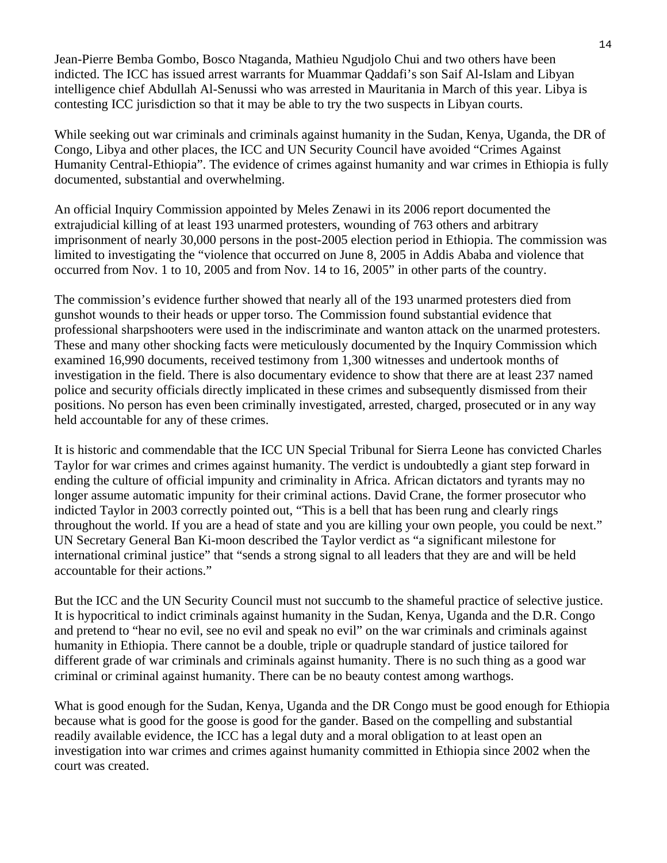Jean-Pierre Bemba Gombo, Bosco Ntaganda, Mathieu Ngudjolo Chui and two others have been indicted. The ICC has issued arrest warrants for Muammar Qaddafi's son Saif Al-Islam and Libyan intelligence chief Abdullah Al-Senussi who was arrested in Mauritania in March of this year. Libya is contesting ICC jurisdiction so that it may be able to try the two suspects in Libyan courts.

While seeking out war criminals and criminals against humanity in the Sudan, Kenya, Uganda, the DR of Congo, Libya and other places, the ICC and UN Security Council have avoided "Crimes Against Humanity Central-Ethiopia". The evidence of crimes against humanity and war crimes in Ethiopia is fully documented, substantial and overwhelming.

An official Inquiry Commission appointed by Meles Zenawi in its 2006 report documented the extrajudicial killing of at least 193 unarmed protesters, wounding of 763 others and arbitrary imprisonment of nearly 30,000 persons in the post-2005 election period in Ethiopia. The commission was limited to investigating the "violence that occurred on June 8, 2005 in Addis Ababa and violence that occurred from Nov. 1 to 10, 2005 and from Nov. 14 to 16, 2005" in other parts of the country.

The commission's evidence further showed that nearly all of the 193 unarmed protesters died from gunshot wounds to their heads or upper torso. The Commission found substantial evidence that professional sharpshooters were used in the indiscriminate and wanton attack on the unarmed protesters. These and many other shocking facts were meticulously documented by the Inquiry Commission which examined 16,990 documents, received testimony from 1,300 witnesses and undertook months of investigation in the field. There is also documentary evidence to show that there are at least 237 named police and security officials directly implicated in these crimes and subsequently dismissed from their positions. No person has even been criminally investigated, arrested, charged, prosecuted or in any way held accountable for any of these crimes.

It is historic and commendable that the ICC UN Special Tribunal for Sierra Leone has convicted Charles Taylor for war crimes and crimes against humanity. The verdict is undoubtedly a giant step forward in ending the culture of official impunity and criminality in Africa. African dictators and tyrants may no longer assume automatic impunity for their criminal actions. David Crane, the former prosecutor who indicted Taylor in 2003 correctly pointed out, "This is a bell that has been rung and clearly rings throughout the world. If you are a head of state and you are killing your own people, you could be next." UN Secretary General Ban Ki-moon described the Taylor verdict as "a significant milestone for international criminal justice" that "sends a strong signal to all leaders that they are and will be held accountable for their actions."

But the ICC and the UN Security Council must not succumb to the shameful practice of selective justice. It is hypocritical to indict criminals against humanity in the Sudan, Kenya, Uganda and the D.R. Congo and pretend to "hear no evil, see no evil and speak no evil" on the war criminals and criminals against humanity in Ethiopia. There cannot be a double, triple or quadruple standard of justice tailored for different grade of war criminals and criminals against humanity. There is no such thing as a good war criminal or criminal against humanity. There can be no beauty contest among warthogs.

What is good enough for the Sudan, Kenya, Uganda and the DR Congo must be good enough for Ethiopia because what is good for the goose is good for the gander. Based on the compelling and substantial readily available evidence, the ICC has a legal duty and a moral obligation to at least open an investigation into war crimes and crimes against humanity committed in Ethiopia since 2002 when the court was created.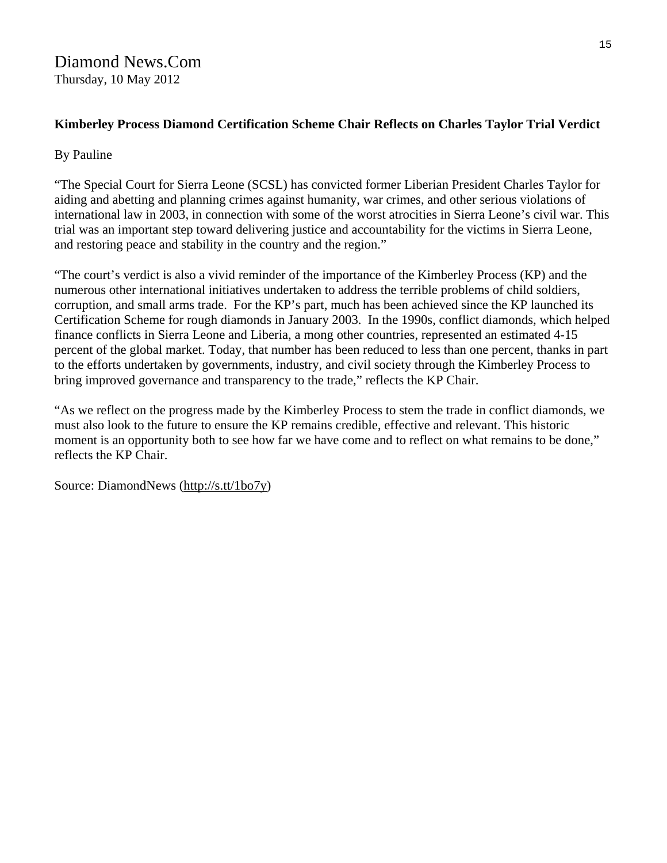# **Kimberley Process Diamond Certification Scheme Chair Reflects on Charles Taylor Trial Verdict**

By Pauline

"The Special Court for Sierra Leone (SCSL) has convicted former Liberian President Charles Taylor for aiding and abetting and planning crimes against humanity, war crimes, and other serious violations of international law in 2003, in connection with some of the worst atrocities in Sierra Leone's civil war. This trial was an important step toward delivering justice and accountability for the victims in Sierra Leone, and restoring peace and stability in the country and the region."

"The court's verdict is also a vivid reminder of the importance of the Kimberley Process (KP) and the numerous other international initiatives undertaken to address the terrible problems of child soldiers, corruption, and small arms trade. For the KP's part, much has been achieved since the KP launched its Certification Scheme for rough diamonds in January 2003. In the 1990s, conflict diamonds, which helped finance conflicts in Sierra Leone and Liberia, a mong other countries, represented an estimated 4-15 percent of the global market. Today, that number has been reduced to less than one percent, thanks in part to the efforts undertaken by governments, industry, and civil society through the Kimberley Process to bring improved governance and transparency to the trade," reflects the KP Chair.

"As we reflect on the progress made by the Kimberley Process to stem the trade in conflict diamonds, we must also look to the future to ensure the KP remains credible, effective and relevant. This historic moment is an opportunity both to see how far we have come and to reflect on what remains to be done," reflects the KP Chair.

Source: DiamondNews ([http://s.tt/1bo7y\)](http://s.tt/1bo7y)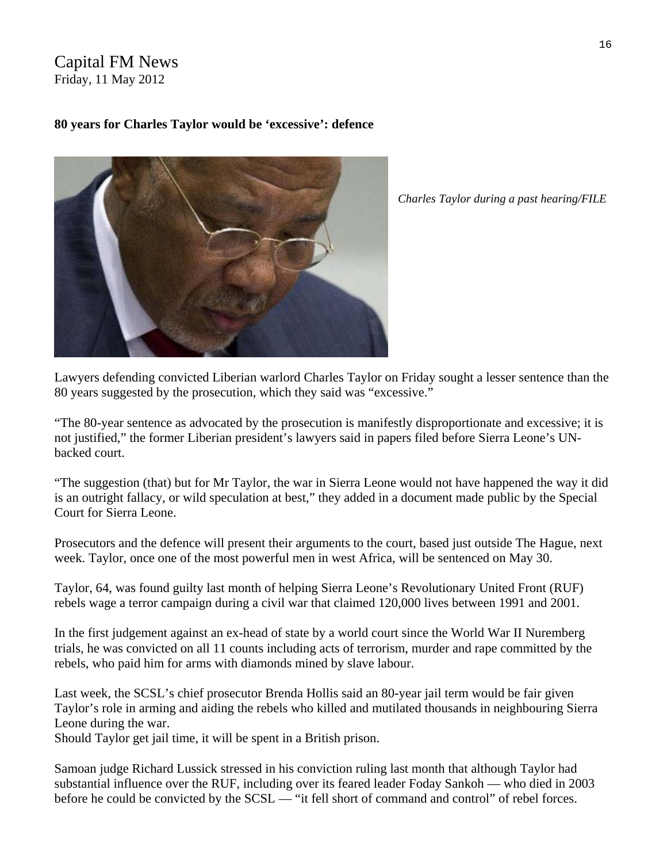# Capital FM News Friday, 11 May 2012

## **80 years for Charles Taylor would be 'excessive': defence**



*Charles Taylor during a past hearing/FILE* 

Lawyers defending convicted Liberian warlord Charles Taylor on Friday sought a lesser sentence than the 80 years suggested by the prosecution, which they said was "excessive."

"The 80-year sentence as advocated by the prosecution is manifestly disproportionate and excessive; it is not justified," the former Liberian president's lawyers said in papers filed before Sierra Leone's UNbacked court.

"The suggestion (that) but for Mr Taylor, the war in Sierra Leone would not have happened the way it did is an outright fallacy, or wild speculation at best," they added in a document made public by the Special Court for Sierra Leone.

Prosecutors and the defence will present their arguments to the court, based just outside The Hague, next week. Taylor, once one of the most powerful men in west Africa, will be sentenced on May 30.

Taylor, 64, was found guilty last month of helping Sierra Leone's Revolutionary United Front (RUF) rebels wage a terror campaign during a civil war that claimed 120,000 lives between 1991 and 2001.

In the first judgement against an ex-head of state by a world court since the World War II Nuremberg trials, he was convicted on all 11 counts including acts of terrorism, murder and rape committed by the rebels, who paid him for arms with diamonds mined by slave labour.

Last week, the SCSL's chief prosecutor Brenda Hollis said an 80-year jail term would be fair given Taylor's role in arming and aiding the rebels who killed and mutilated thousands in neighbouring Sierra Leone during the war.

Should Taylor get jail time, it will be spent in a British prison.

Samoan judge Richard Lussick stressed in his conviction ruling last month that although Taylor had substantial influence over the RUF, including over its feared leader Foday Sankoh — who died in 2003 before he could be convicted by the SCSL — "it fell short of command and control" of rebel forces.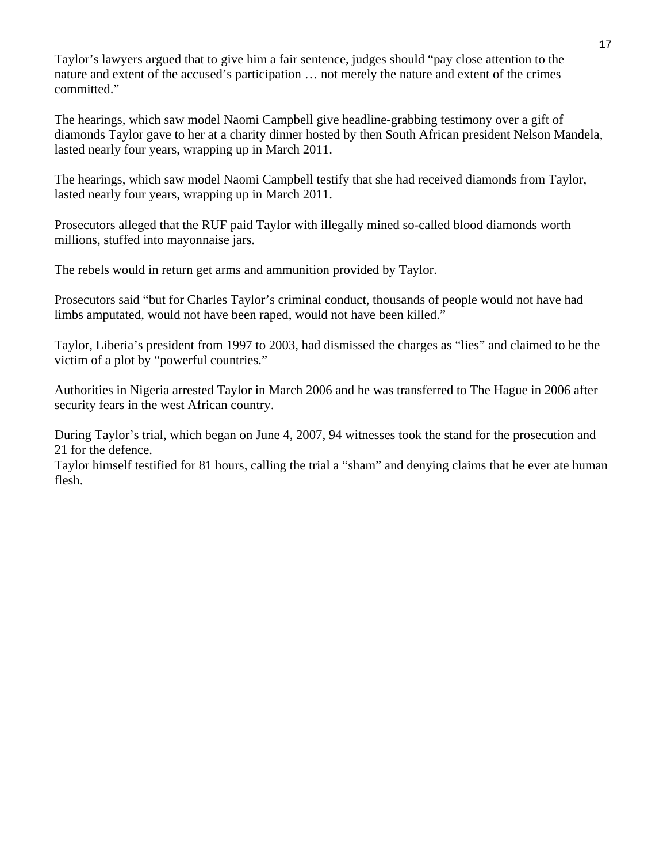Taylor's lawyers argued that to give him a fair sentence, judges should "pay close attention to the nature and extent of the accused's participation … not merely the nature and extent of the crimes committed."

The hearings, which saw model Naomi Campbell give headline-grabbing testimony over a gift of diamonds Taylor gave to her at a charity dinner hosted by then South African president Nelson Mandela, lasted nearly four years, wrapping up in March 2011.

The hearings, which saw model Naomi Campbell testify that she had received diamonds from Taylor, lasted nearly four years, wrapping up in March 2011.

Prosecutors alleged that the RUF paid Taylor with illegally mined so-called blood diamonds worth millions, stuffed into mayonnaise jars.

The rebels would in return get arms and ammunition provided by Taylor.

Prosecutors said "but for Charles Taylor's criminal conduct, thousands of people would not have had limbs amputated, would not have been raped, would not have been killed."

Taylor, Liberia's president from 1997 to 2003, had dismissed the charges as "lies" and claimed to be the victim of a plot by "powerful countries."

Authorities in Nigeria arrested Taylor in March 2006 and he was transferred to The Hague in 2006 after security fears in the west African country.

During Taylor's trial, which began on June 4, 2007, 94 witnesses took the stand for the prosecution and 21 for the defence.

Taylor himself testified for 81 hours, calling the trial a "sham" and denying claims that he ever ate human flesh.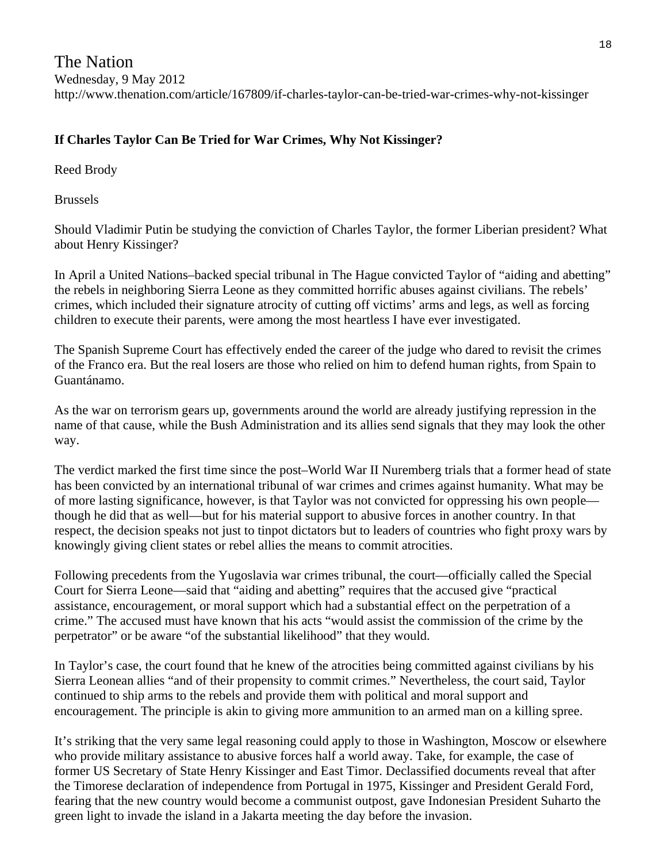# **If Charles Taylor Can Be Tried for War Crimes, Why Not Kissinger?**

Reed Brody

Brussels

Should Vladimir Putin be studying the conviction of Charles Taylor, the former Liberian president? What about Henry Kissinger?

In April a United Nations–backed special tribunal in The Hague convicted Taylor of "aiding and abetting" the rebels in neighboring Sierra Leone as they committed horrific abuses against civilians. The rebels' crimes, which included their signature atrocity of cutting off victims' arms and legs, as well as forcing children to execute their parents, were among the most heartless I have ever investigated.

The Spanish Supreme Court has effectively ended the career of the judge who dared to revisit the crimes of the Franco era. But the real losers are those who relied on him to defend human rights, from Spain to Guantánamo.

As the war on terrorism gears up, governments around the world are already justifying repression in the name of that cause, while the Bush Administration and its allies send signals that they may look the other way.

The verdict marked the first time since the post–World War II Nuremberg trials that a former head of state has been convicted by an international tribunal of war crimes and crimes against humanity. What may be of more lasting significance, however, is that Taylor was not convicted for oppressing his own people though he did that as well—but for his material support to abusive forces in another country. In that respect, the decision speaks not just to tinpot dictators but to leaders of countries who fight proxy wars by knowingly giving client states or rebel allies the means to commit atrocities.

Following precedents from the Yugoslavia war crimes tribunal, the court—officially called the Special Court for Sierra Leone—said that "aiding and abetting" requires that the accused give "practical assistance, encouragement, or moral support which had a substantial effect on the perpetration of a crime." The accused must have known that his acts "would assist the commission of the crime by the perpetrator" or be aware "of the substantial likelihood" that they would.

In Taylor's case, the court found that he knew of the atrocities being committed against civilians by his Sierra Leonean allies "and of their propensity to commit crimes." Nevertheless, the court said, Taylor continued to ship arms to the rebels and provide them with political and moral support and encouragement. The principle is akin to giving more ammunition to an armed man on a killing spree.

It's striking that the very same legal reasoning could apply to those in Washington, Moscow or elsewhere who provide military assistance to abusive forces half a world away. Take, for example, the case of former US Secretary of State Henry Kissinger and East Timor. Declassified documents reveal that after the Timorese declaration of independence from Portugal in 1975, Kissinger and President Gerald Ford, fearing that the new country would become a communist outpost, gave Indonesian President Suharto the green light to invade the island in a Jakarta meeting the day before the invasion.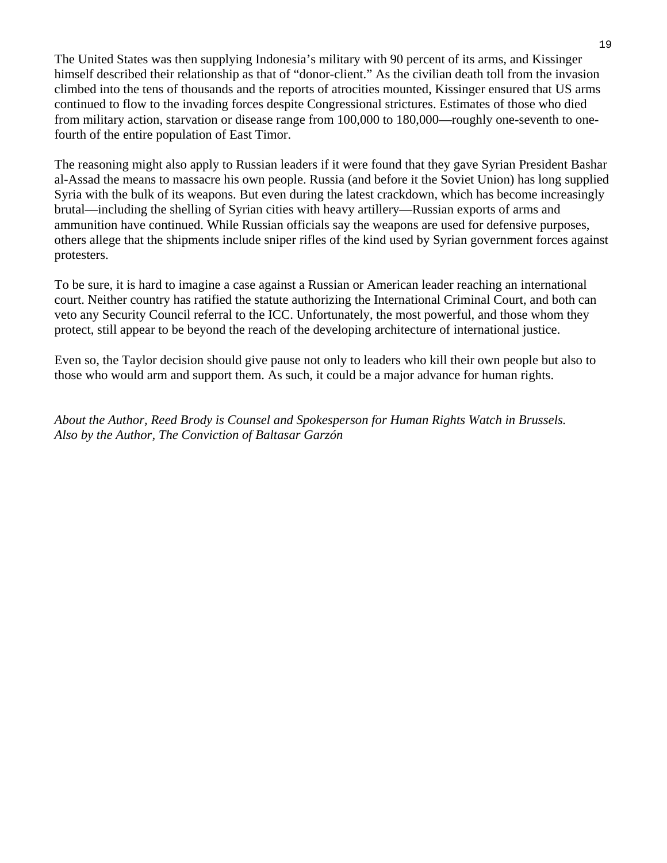The United States was then supplying Indonesia's military with 90 percent of its arms, and Kissinger himself described their relationship as that of "donor-client." As the civilian death toll from the invasion climbed into the tens of thousands and the reports of atrocities mounted, Kissinger ensured that US arms continued to flow to the invading forces despite Congressional strictures. Estimates of those who died from military action, starvation or disease range from 100,000 to 180,000—roughly one-seventh to onefourth of the entire population of East Timor.

The reasoning might also apply to Russian leaders if it were found that they gave Syrian President Bashar al-Assad the means to massacre his own people. Russia (and before it the Soviet Union) has long supplied Syria with the bulk of its weapons. But even during the latest crackdown, which has become increasingly brutal—including the shelling of Syrian cities with heavy artillery—Russian exports of arms and ammunition have continued. While Russian officials say the weapons are used for defensive purposes, others allege that the shipments include sniper rifles of the kind used by Syrian government forces against protesters.

To be sure, it is hard to imagine a case against a Russian or American leader reaching an international court. Neither country has ratified the statute authorizing the International Criminal Court, and both can veto any Security Council referral to the ICC. Unfortunately, the most powerful, and those whom they protect, still appear to be beyond the reach of the developing architecture of international justice.

Even so, the Taylor decision should give pause not only to leaders who kill their own people but also to those who would arm and support them. As such, it could be a major advance for human rights.

*About the Author, Reed Brody is Counsel and Spokesperson for Human Rights Watch in Brussels. Also by the Author, The Conviction of Baltasar Garzón*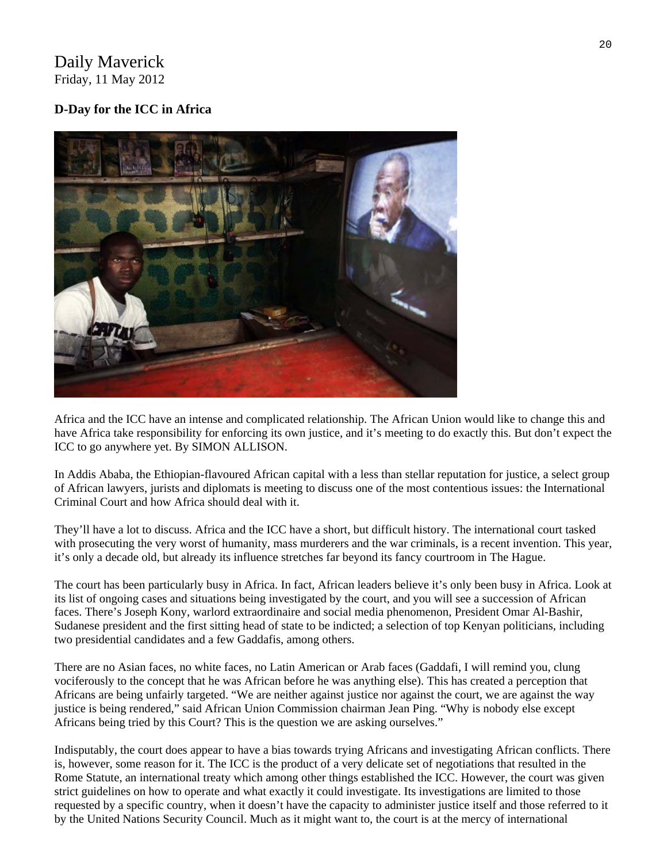# Daily Maverick Friday, 11 May 2012

# **D-Day for the ICC in Africa**



Africa and the ICC have an intense and complicated relationship. The African Union would like to change this and have Africa take responsibility for enforcing its own justice, and it's meeting to do exactly this. But don't expect the ICC to go anywhere yet. By SIMON ALLISON.

In Addis Ababa, the Ethiopian-flavoured African capital with a less than stellar reputation for justice, a select group of African lawyers, jurists and diplomats is meeting to discuss one of the most contentious issues: the International Criminal Court and how Africa should deal with it.

They'll have a lot to discuss. Africa and the ICC have a short, but difficult history. The international court tasked with prosecuting the very worst of humanity, mass murderers and the war criminals, is a recent invention. This year, it's only a decade old, but already its influence stretches far beyond its fancy courtroom in The Hague.

The court has been particularly busy in Africa. In fact, African leaders believe it's only been busy in Africa. Look at its list of ongoing cases and situations being investigated by the court, and you will see a succession of African faces. There's Joseph Kony, warlord extraordinaire and social media phenomenon, President Omar Al-Bashir, Sudanese president and the first sitting head of state to be indicted; a selection of top Kenyan politicians, including two presidential candidates and a few Gaddafis, among others.

There are no Asian faces, no white faces, no Latin American or Arab faces (Gaddafi, I will remind you, clung vociferously to the concept that he was African before he was anything else). This has created a perception that Africans are being unfairly targeted. "We are neither against justice nor against the court, we are against the way justice is being rendered," said African Union Commission chairman Jean Ping. "Why is nobody else except Africans being tried by this Court? This is the question we are asking ourselves."

Indisputably, the court does appear to have a bias towards trying Africans and investigating African conflicts. There is, however, some reason for it. The ICC is the product of a very delicate set of negotiations that resulted in the Rome Statute, an international treaty which among other things established the ICC. However, the court was given strict guidelines on how to operate and what exactly it could investigate. Its investigations are limited to those requested by a specific country, when it doesn't have the capacity to administer justice itself and those referred to it by the United Nations Security Council. Much as it might want to, the court is at the mercy of international